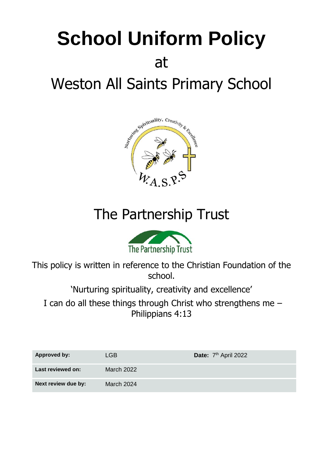# **School Uniform Policy** at Weston All Saints Primary School



## The Partnership Trust



This policy is written in reference to the Christian Foundation of the school.

'Nurturing spirituality, creativity and excellence'

I can do all these things through Christ who strengthens me – Philippians 4:13

| <b>Approved by:</b> | LGB.       | Date: 7 <sup>th</sup> April 2022 |
|---------------------|------------|----------------------------------|
| Last reviewed on:   | March 2022 |                                  |
| Next review due by: | March 2024 |                                  |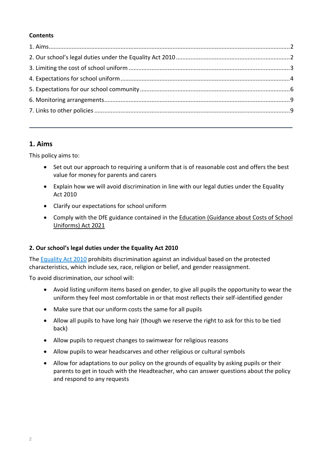#### **Contents**

#### <span id="page-1-0"></span>**1. Aims**

This policy aims to:

- Set out our approach to requiring a uniform that is of reasonable cost and offers the best value for money for parents and carers
- Explain how we will avoid discrimination in line with our legal duties under the Equality Act 2010
- Clarify our expectations for school uniform
- Comply with the DfE guidance contained in the [Education \(Guidance about Costs of School](https://www.legislation.gov.uk/ukpga/2021/20/enacted)  [Uniforms\) Act 2021](https://www.legislation.gov.uk/ukpga/2021/20/enacted)

#### <span id="page-1-1"></span>**2. Our school's legal duties under the Equality Act 2010**

Th[e Equality Act 2010](https://www.legislation.gov.uk/ukpga/2010/15/contents) prohibits discrimination against an individual based on the protected characteristics, which include sex, race, religion or belief, and gender reassignment.

To avoid discrimination, our school will:

- Avoid listing uniform items based on gender, to give all pupils the opportunity to wear the uniform they feel most comfortable in or that most reflects their self-identified gender
- Make sure that our uniform costs the same for all pupils
- Allow all pupils to have long hair (though we reserve the right to ask for this to be tied back)
- Allow pupils to request changes to swimwear for religious reasons
- Allow pupils to wear headscarves and other religious or cultural symbols
- Allow for adaptations to our policy on the grounds of equality by asking pupils or their parents to get in touch with the Headteacher, who can answer questions about the policy and respond to any requests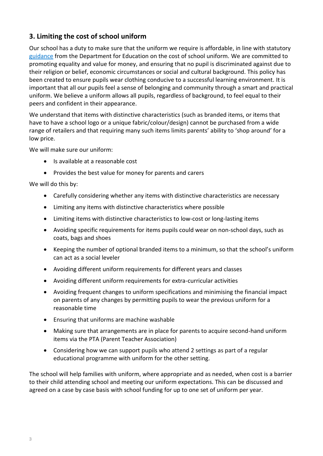#### <span id="page-2-0"></span>**3. Limiting the cost of school uniform**

Our school has a duty to make sure that the uniform we require is affordable, in line with statutory [guidance](https://www.gov.uk/government/publications/cost-of-school-uniforms/cost-of-school-uniforms) from the Department for Education on the cost of school uniform. We are committed to promoting equality and value for money, and ensuring that no pupil is discriminated against due to their religion or belief, economic circumstances or social and cultural background. This policy has been created to ensure pupils wear clothing conducive to a successful learning environment. It is important that all our pupils feel a sense of belonging and community through a smart and practical uniform. We believe a uniform allows all pupils, regardless of background, to feel equal to their peers and confident in their appearance.

We understand that items with distinctive characteristics (such as branded items, or items that have to have a school logo or a unique fabric/colour/design) cannot be purchased from a wide range of retailers and that requiring many such items limits parents' ability to 'shop around' for a low price.

We will make sure our uniform:

- Is available at a reasonable cost
- Provides the best value for money for parents and carers

We will do this by:

- Carefully considering whether any items with distinctive characteristics are necessary
- Limiting any items with distinctive characteristics where possible
- Limiting items with distinctive characteristics to low-cost or long-lasting items
- Avoiding specific requirements for items pupils could wear on non-school days, such as coats, bags and shoes
- Keeping the number of optional branded items to a minimum, so that the school's uniform can act as a social leveler
- Avoiding different uniform requirements for different years and classes
- Avoiding different uniform requirements for extra-curricular activities
- Avoiding frequent changes to uniform specifications and minimising the financial impact on parents of any changes by permitting pupils to wear the previous uniform for a reasonable time
- Ensuring that uniforms are machine washable
- Making sure that arrangements are in place for parents to acquire second-hand uniform items via the PTA (Parent Teacher Association)
- Considering how we can support pupils who attend 2 settings as part of a regular educational programme with uniform for the other setting.

The school will help families with uniform, where appropriate and as needed, when cost is a barrier to their child attending school and meeting our uniform expectations. This can be discussed and agreed on a case by case basis with school funding for up to one set of uniform per year.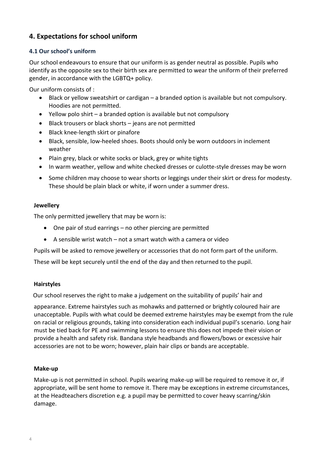#### <span id="page-3-0"></span>**4. Expectations for school uniform**

#### **4.1 Our school's uniform**

Our school endeavours to ensure that our uniform is as gender neutral as possible. Pupils who identify as the opposite sex to their birth sex are permitted to wear the uniform of their preferred gender, in accordance with the LGBTQ+ policy.

Our uniform consists of :

- Black or yellow sweatshirt or cardigan a branded option is available but not compulsory. Hoodies are not permitted.
- Yellow polo shirt a branded option is available but not compulsory
- Black trousers or black shorts jeans are not permitted
- Black knee-length skirt or pinafore
- Black, sensible, low-heeled shoes. Boots should only be worn outdoors in inclement weather
- Plain grey, black or white socks or black, grey or white tights
- In warm weather, yellow and white checked dresses or culotte-style dresses may be worn
- Some children may choose to wear shorts or leggings under their skirt or dress for modesty. These should be plain black or white, if worn under a summer dress.

#### **Jewellery**

The only permitted jewellery that may be worn is:

- One pair of stud earrings no other piercing are permitted
- A sensible wrist watch not a smart watch with a camera or video

Pupils will be asked to remove jewellery or accessories that do not form part of the uniform.

These will be kept securely until the end of the day and then returned to the pupil.

#### **Hairstyles**

Our school reserves the right to make a judgement on the suitability of pupils' hair and

appearance. Extreme hairstyles such as mohawks and patterned or brightly coloured hair are unacceptable. Pupils with what could be deemed extreme hairstyles may be exempt from the rule on racial or religious grounds, taking into consideration each individual pupil's scenario. Long hair must be tied back for PE and swimming lessons to ensure this does not impede their vision or provide a health and safety risk. Bandana style headbands and flowers/bows or excessive hair accessories are not to be worn; however, plain hair clips or bands are acceptable.

#### **Make-up**

Make-up is not permitted in school. Pupils wearing make-up will be required to remove it or, if appropriate, will be sent home to remove it. There may be exceptions in extreme circumstances, at the Headteachers discretion e.g. a pupil may be permitted to cover heavy scarring/skin damage.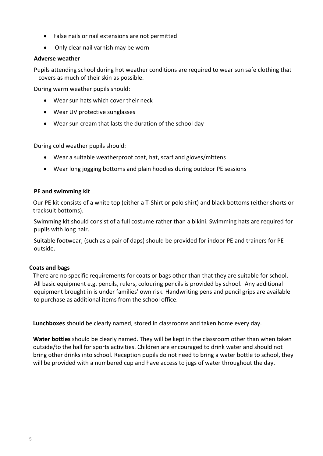- False nails or nail extensions are not permitted
- Only clear nail varnish may be worn

#### **Adverse weather**

Pupils attending school during hot weather conditions are required to wear sun safe clothing that covers as much of their skin as possible.

During warm weather pupils should:

- Wear sun hats which cover their neck
- Wear UV protective sunglasses
- Wear sun cream that lasts the duration of the school day

During cold weather pupils should:

- Wear a suitable weatherproof coat, hat, scarf and gloves/mittens
- Wear long jogging bottoms and plain hoodies during outdoor PE sessions

#### **PE and swimming kit**

Our PE kit consists of a white top (either a T-Shirt or polo shirt) and black bottoms (either shorts or tracksuit bottoms).

Swimming kit should consist of a full costume rather than a bikini. Swimming hats are required for pupils with long hair.

Suitable footwear, (such as a pair of daps) should be provided for indoor PE and trainers for PE outside.

#### **Coats and bags**

There are no specific requirements for coats or bags other than that they are suitable for school. All basic equipment e.g. pencils, rulers, colouring pencils is provided by school. Any additional equipment brought in is under families' own risk. Handwriting pens and pencil grips are available to purchase as additional items from the school office.

**Lunchboxes** should be clearly named, stored in classrooms and taken home every day.

**Water bottles** should be clearly named. They will be kept in the classroom other than when taken outside/to the hall for sports activities. Children are encouraged to drink water and should not bring other drinks into school. Reception pupils do not need to bring a water bottle to school, they will be provided with a numbered cup and have access to jugs of water throughout the day.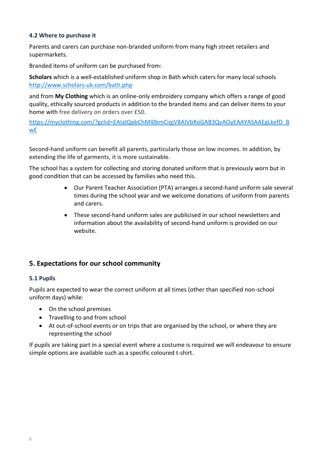#### **4.2 Where to purchase it**

Parents and carers can purchase non-branded uniform from many high street retailers and supermarkets.

Branded items of uniform can be purchased from:

**Scholars** which is a well-established uniform shop in Bath which caters for many local schools <http://www.scholars-uk.com/bath.php>

and from **My Clothing** which is an online-only embroidery company which offers a range of good quality, ethically sourced products in addition to the branded items and can deliver items to your home with free delivery on orders over £50.

[https://myclothing.com/?gclid=EAIaIQobChMI0bmCiqjV8AIVbRoGAB3QvAOyEAAYASAAEgLkefD\\_B](https://myclothing.com/?gclid=EAIaIQobChMI0bmCiqjV8AIVbRoGAB3QvAOyEAAYASAAEgLkefD_BwE) [wE](https://myclothing.com/?gclid=EAIaIQobChMI0bmCiqjV8AIVbRoGAB3QvAOyEAAYASAAEgLkefD_BwE)

Second-hand uniform can benefit all parents, particularly those on low incomes. In addition, by extending the life of garments, it is more sustainable.

The school has a system for collecting and storing donated uniform that is previously worn but in good condition that can be accessed by families who need this.

- Our Parent Teacher Association (PTA) arranges a second-hand uniform sale several times during the school year and we welcome donations of uniform from parents and carers.
- These second-hand uniform sales are publicised in our school newsletters and information about the availability of second-hand uniform is provided on our website.

#### <span id="page-5-0"></span>**5. Expectations for our school community**

#### **5.1 Pupils**

Pupils are expected to wear the correct uniform at all times (other than specified non-school uniform days) while:

- On the school premises
- Travelling to and from school
- At out-of-school events or on trips that are organised by the school, or where they are representing the school

If pupils are taking part in a special event where a costume is required we will endeavour to ensure simple options are available such as a specific coloured t-shirt.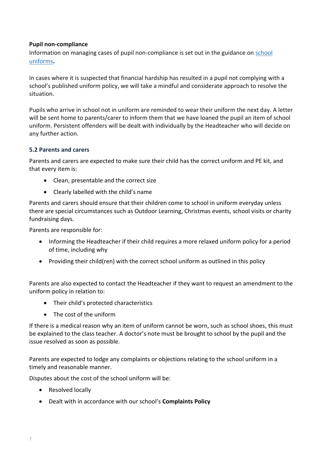#### **Pupil non-compliance**

Information on managing cases of pupil non-compliance is set out in the guidance on [school](https://www.gov.uk/government/publications/school-uniform)  [uniforms](https://www.gov.uk/government/publications/school-uniform)**.**

In cases where it is suspected that financial hardship has resulted in a pupil not complying with a school's published uniform policy, we will take a mindful and considerate approach to resolve the situation.

Pupils who arrive in school not in uniform are reminded to wear their uniform the next day. A letter will be sent home to parents/carer to inform them that we have loaned the pupil an item of school uniform. Persistent offenders will be dealt with individually by the Headteacher who will decide on any further action.

#### **5.2 Parents and carers**

Parents and carers are expected to make sure their child has the correct uniform and PE kit, and that every item is:

- Clean, presentable and the correct size
- Clearly labelled with the child's name

Parents and carers should ensure that their children come to school in uniform everyday unless there are special circumstances such as Outdoor Learning, Christmas events, school visits or charity fundraising days.

Parents are responsible for:

- Informing the Headteacher if their child requires a more relaxed uniform policy for a period of time, including why
- Providing their child(ren) with the correct school uniform as outlined in this policy

Parents are also expected to contact the Headteacher if they want to request an amendment to the uniform policy in relation to:

- Their child's protected characteristics
- The cost of the uniform

If there is a medical reason why an item of uniform cannot be worn, such as school shoes, this must be explained to the class teacher. A doctor's note must be brought to school by the pupil and the issue resolved as soon as possible.

Parents are expected to lodge any complaints or objections relating to the school uniform in a timely and reasonable manner.

Disputes about the cost of the school uniform will be:

- Resolved locally
- Dealt with in accordance with our school's **Complaints Policy**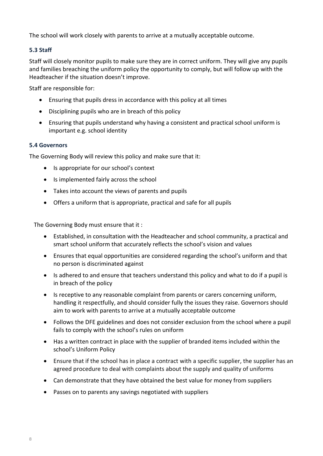The school will work closely with parents to arrive at a mutually acceptable outcome.

#### **5.3 Staff**

Staff will closely monitor pupils to make sure they are in correct uniform. They will give any pupils and families breaching the uniform policy the opportunity to comply, but will follow up with the Headteacher if the situation doesn't improve.

Staff are responsible for:

- Ensuring that pupils dress in accordance with this policy at all times
- Disciplining pupils who are in breach of this policy
- Ensuring that pupils understand why having a consistent and practical school uniform is important e.g. school identity

#### **5.4 Governors**

The Governing Body will review this policy and make sure that it:

- Is appropriate for our school's context
- Is implemented fairly across the school
- Takes into account the views of parents and pupils
- Offers a uniform that is appropriate, practical and safe for all pupils

The Governing Body must ensure that it :

- Established, in consultation with the Headteacher and school community, a practical and smart school uniform that accurately reflects the school's vision and values
- Ensures that equal opportunities are considered regarding the school's uniform and that no person is discriminated against
- Is adhered to and ensure that teachers understand this policy and what to do if a pupil is in breach of the policy
- Is receptive to any reasonable complaint from parents or carers concerning uniform, handling it respectfully, and should consider fully the issues they raise. Governors should aim to work with parents to arrive at a mutually acceptable outcome
- Follows the DFE guidelines and does not consider exclusion from the school where a pupil fails to comply with the school's rules on uniform
- Has a written contract in place with the supplier of branded items included within the school's Uniform Policy
- Ensure that if the school has in place a contract with a specific supplier, the supplier has an agreed procedure to deal with complaints about the supply and quality of uniforms
- Can demonstrate that they have obtained the best value for money from suppliers
- Passes on to parents any savings negotiated with suppliers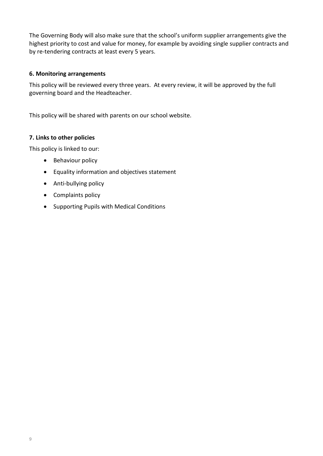The Governing Body will also make sure that the school's uniform supplier arrangements give the highest priority to cost and value for money, for example by avoiding single supplier contracts and by re-tendering contracts at least every 5 years.

#### <span id="page-8-0"></span>**6. Monitoring arrangements**

This policy will be reviewed every three years. At every review, it will be approved by the full governing board and the Headteacher.

This policy will be shared with parents on our school website.

#### <span id="page-8-1"></span>**7. Links to other policies**

This policy is linked to our:

- Behaviour policy
- Equality information and objectives statement
- Anti-bullying policy
- Complaints policy
- Supporting Pupils with Medical Conditions